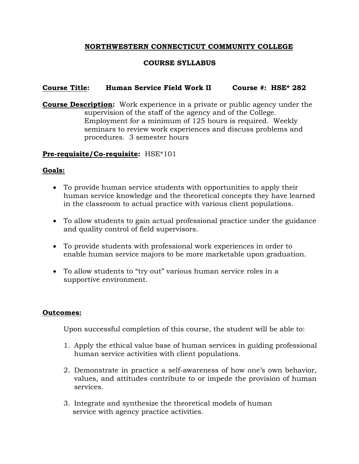# **NORTHWESTERN CONNECTICUT COMMUNITY COLLEGE**

# **COURSE SYLLABUS**

## **Course Title: Human Service Field Work II Course #: HSE\* 282**

**Course Description:** Work experience in a private or public agency under the supervision of the staff of the agency and of the College. Employment for a minimum of 125 hours is required. Weekly seminars to review work experiences and discuss problems and procedures. 3 semester hours

### **Pre-requisite/Co-requisite:** HSE\*101

### **Goals:**

- To provide human service students with opportunities to apply their human service knowledge and the theoretical concepts they have learned in the classroom to actual practice with various client populations.
- To allow students to gain actual professional practice under the guidance and quality control of field supervisors.
- To provide students with professional work experiences in order to enable human service majors to be more marketable upon graduation.
- To allow students to "try out" various human service roles in a supportive environment.

### **Outcomes:**

Upon successful completion of this course, the student will be able to:

- 1. Apply the ethical value base of human services in guiding professional human service activities with client populations.
- 2. Demonstrate in practice a self-awareness of how one's own behavior, values, and attitudes contribute to or impede the provision of human services.
- 3. Integrate and synthesize the theoretical models of human service with agency practice activities.